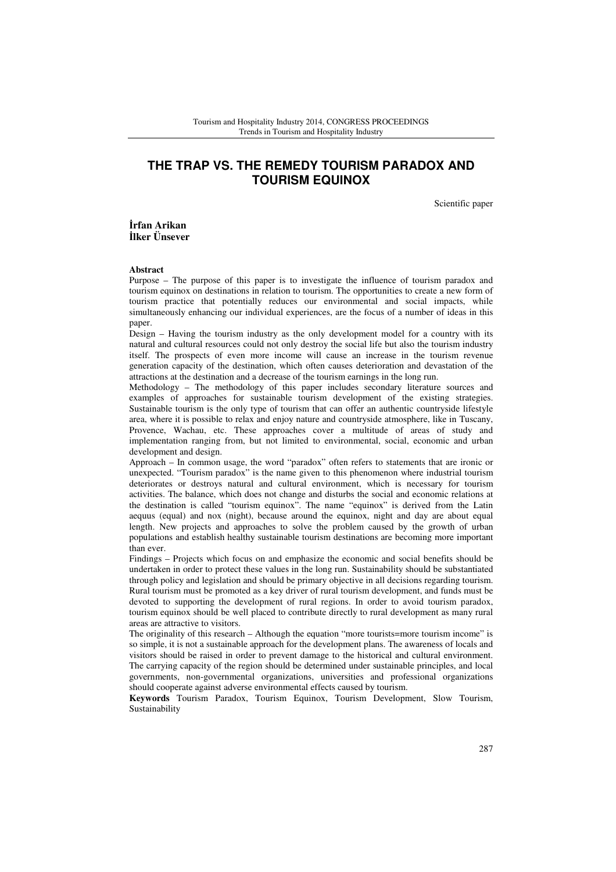# **THE TRAP VS. THE REMEDY TOURISM PARADOX AND TOURISM EQUINOX**

Scientific paper

İ**rfan Arikan**  İ**lker Ünsever** 

#### **Abstract**

Purpose – The purpose of this paper is to investigate the influence of tourism paradox and tourism equinox on destinations in relation to tourism. The opportunities to create a new form of tourism practice that potentially reduces our environmental and social impacts, while simultaneously enhancing our individual experiences, are the focus of a number of ideas in this paper.

Design – Having the tourism industry as the only development model for a country with its natural and cultural resources could not only destroy the social life but also the tourism industry itself. The prospects of even more income will cause an increase in the tourism revenue generation capacity of the destination, which often causes deterioration and devastation of the attractions at the destination and a decrease of the tourism earnings in the long run.

Methodology – The methodology of this paper includes secondary literature sources and examples of approaches for sustainable tourism development of the existing strategies. Sustainable tourism is the only type of tourism that can offer an authentic countryside lifestyle area, where it is possible to relax and enjoy nature and countryside atmosphere, like in Tuscany, Provence, Wachau, etc. These approaches cover a multitude of areas of study and implementation ranging from, but not limited to environmental, social, economic and urban development and design.

Approach – In common usage, the word "paradox" often refers to statements that are ironic or unexpected. "Tourism paradox" is the name given to this phenomenon where industrial tourism deteriorates or destroys natural and cultural environment, which is necessary for tourism activities. The balance, which does not change and disturbs the social and economic relations at the destination is called "tourism equinox". The name "equinox" is derived from the Latin aequus (equal) and nox (night), because around the equinox, night and day are about equal length. New projects and approaches to solve the problem caused by the growth of urban populations and establish healthy sustainable tourism destinations are becoming more important than ever.

Findings – Projects which focus on and emphasize the economic and social benefits should be undertaken in order to protect these values in the long run. Sustainability should be substantiated through policy and legislation and should be primary objective in all decisions regarding tourism. Rural tourism must be promoted as a key driver of rural tourism development, and funds must be devoted to supporting the development of rural regions. In order to avoid tourism paradox, tourism equinox should be well placed to contribute directly to rural development as many rural areas are attractive to visitors.

The originality of this research – Although the equation "more tourists=more tourism income" is so simple, it is not a sustainable approach for the development plans. The awareness of locals and visitors should be raised in order to prevent damage to the historical and cultural environment. The carrying capacity of the region should be determined under sustainable principles, and local governments, non-governmental organizations, universities and professional organizations should cooperate against adverse environmental effects caused by tourism.

**Keywords** Tourism Paradox, Tourism Equinox, Tourism Development, Slow Tourism, Sustainability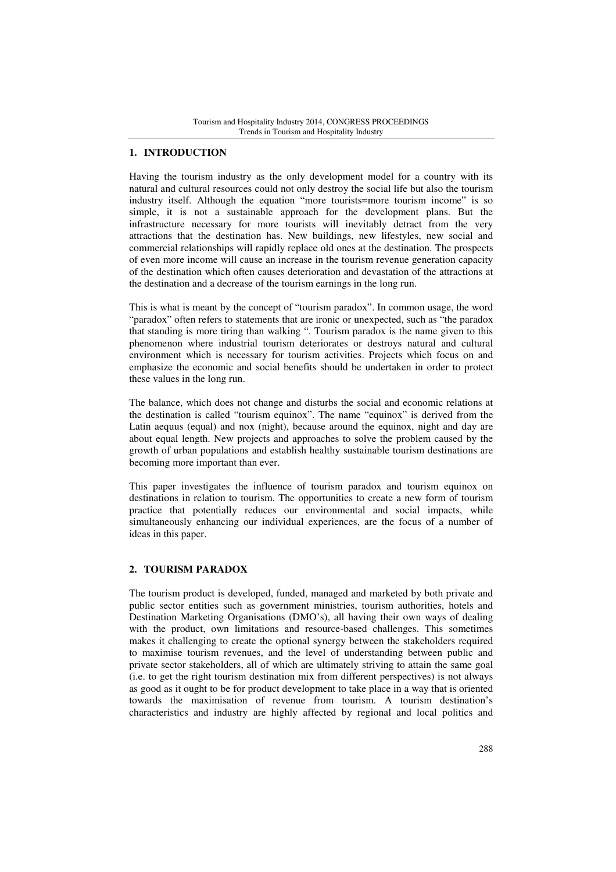## **1. INTRODUCTION**

Having the tourism industry as the only development model for a country with its natural and cultural resources could not only destroy the social life but also the tourism industry itself. Although the equation "more tourists=more tourism income" is so simple, it is not a sustainable approach for the development plans. But the infrastructure necessary for more tourists will inevitably detract from the very attractions that the destination has. New buildings, new lifestyles, new social and commercial relationships will rapidly replace old ones at the destination. The prospects of even more income will cause an increase in the tourism revenue generation capacity of the destination which often causes deterioration and devastation of the attractions at the destination and a decrease of the tourism earnings in the long run.

This is what is meant by the concept of "tourism paradox". In common usage, the word "paradox" often refers to statements that are ironic or unexpected, such as "the paradox that standing is more tiring than walking ". Tourism paradox is the name given to this phenomenon where industrial tourism deteriorates or destroys natural and cultural environment which is necessary for tourism activities. Projects which focus on and emphasize the economic and social benefits should be undertaken in order to protect these values in the long run.

The balance, which does not change and disturbs the social and economic relations at the destination is called "tourism equinox". The name "equinox" is derived from the Latin aequus (equal) and nox (night), because around the equinox, night and day are about equal length. New projects and approaches to solve the problem caused by the growth of urban populations and establish healthy sustainable tourism destinations are becoming more important than ever.

This paper investigates the influence of tourism paradox and tourism equinox on destinations in relation to tourism. The opportunities to create a new form of tourism practice that potentially reduces our environmental and social impacts, while simultaneously enhancing our individual experiences, are the focus of a number of ideas in this paper.

### **2. TOURISM PARADOX**

The tourism product is developed, funded, managed and marketed by both private and public sector entities such as government ministries, tourism authorities, hotels and Destination Marketing Organisations (DMO's), all having their own ways of dealing with the product, own limitations and resource-based challenges. This sometimes makes it challenging to create the optional synergy between the stakeholders required to maximise tourism revenues, and the level of understanding between public and private sector stakeholders, all of which are ultimately striving to attain the same goal (i.e. to get the right tourism destination mix from different perspectives) is not always as good as it ought to be for product development to take place in a way that is oriented towards the maximisation of revenue from tourism. A tourism destination's characteristics and industry are highly affected by regional and local politics and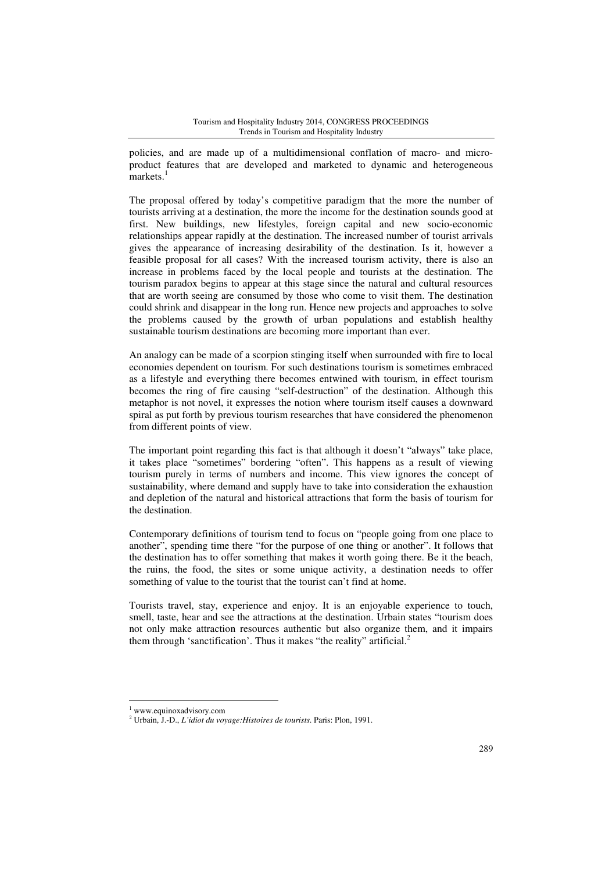policies, and are made up of a multidimensional conflation of macro- and microproduct features that are developed and marketed to dynamic and heterogeneous markets.<sup>1</sup>

The proposal offered by today's competitive paradigm that the more the number of tourists arriving at a destination, the more the income for the destination sounds good at first. New buildings, new lifestyles, foreign capital and new socio-economic relationships appear rapidly at the destination. The increased number of tourist arrivals gives the appearance of increasing desirability of the destination. Is it, however a feasible proposal for all cases? With the increased tourism activity, there is also an increase in problems faced by the local people and tourists at the destination. The tourism paradox begins to appear at this stage since the natural and cultural resources that are worth seeing are consumed by those who come to visit them. The destination could shrink and disappear in the long run. Hence new projects and approaches to solve the problems caused by the growth of urban populations and establish healthy sustainable tourism destinations are becoming more important than ever.

An analogy can be made of a scorpion stinging itself when surrounded with fire to local economies dependent on tourism. For such destinations tourism is sometimes embraced as a lifestyle and everything there becomes entwined with tourism, in effect tourism becomes the ring of fire causing "self-destruction" of the destination. Although this metaphor is not novel, it expresses the notion where tourism itself causes a downward spiral as put forth by previous tourism researches that have considered the phenomenon from different points of view.

The important point regarding this fact is that although it doesn't "always" take place, it takes place "sometimes" bordering "often". This happens as a result of viewing tourism purely in terms of numbers and income. This view ignores the concept of sustainability, where demand and supply have to take into consideration the exhaustion and depletion of the natural and historical attractions that form the basis of tourism for the destination.

Contemporary definitions of tourism tend to focus on "people going from one place to another", spending time there "for the purpose of one thing or another". It follows that the destination has to offer something that makes it worth going there. Be it the beach, the ruins, the food, the sites or some unique activity, a destination needs to offer something of value to the tourist that the tourist can't find at home.

Tourists travel, stay, experience and enjoy. It is an enjoyable experience to touch, smell, taste, hear and see the attractions at the destination. Urbain states "tourism does not only make attraction resources authentic but also organize them, and it impairs them through 'sanctification'. Thus it makes "the reality" artificial. $<sup>2</sup>$ </sup>

<sup>1</sup> www.equinoxadvisory.com

<sup>2</sup> Urbain, J.-D., *L'idiot du voyage:Histoires de tourists*. Paris: Plon, 1991.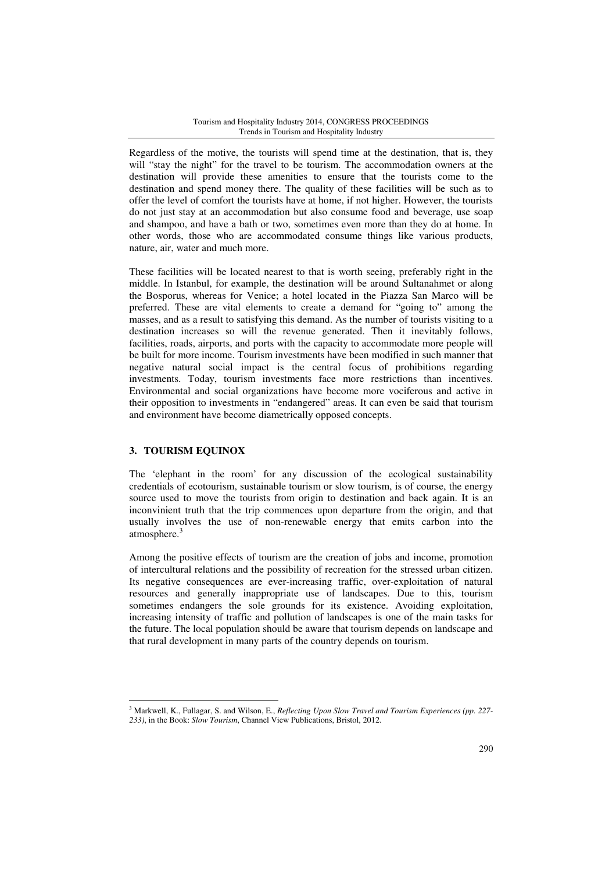#### Tourism and Hospitality Industry 2014, CONGRESS PROCEEDINGS Trends in Tourism and Hospitality Industry

Regardless of the motive, the tourists will spend time at the destination, that is, they will "stay the night" for the travel to be tourism. The accommodation owners at the destination will provide these amenities to ensure that the tourists come to the destination and spend money there. The quality of these facilities will be such as to offer the level of comfort the tourists have at home, if not higher. However, the tourists do not just stay at an accommodation but also consume food and beverage, use soap and shampoo, and have a bath or two, sometimes even more than they do at home. In other words, those who are accommodated consume things like various products, nature, air, water and much more.

These facilities will be located nearest to that is worth seeing, preferably right in the middle. In Istanbul, for example, the destination will be around Sultanahmet or along the Bosporus, whereas for Venice; a hotel located in the Piazza San Marco will be preferred. These are vital elements to create a demand for "going to" among the masses, and as a result to satisfying this demand. As the number of tourists visiting to a destination increases so will the revenue generated. Then it inevitably follows, facilities, roads, airports, and ports with the capacity to accommodate more people will be built for more income. Tourism investments have been modified in such manner that negative natural social impact is the central focus of prohibitions regarding investments. Today, tourism investments face more restrictions than incentives. Environmental and social organizations have become more vociferous and active in their opposition to investments in "endangered" areas. It can even be said that tourism and environment have become diametrically opposed concepts.

### **3. TOURISM EQUINOX**

l

The 'elephant in the room' for any discussion of the ecological sustainability credentials of ecotourism, sustainable tourism or slow tourism, is of course, the energy source used to move the tourists from origin to destination and back again. It is an inconvinient truth that the trip commences upon departure from the origin, and that usually involves the use of non-renewable energy that emits carbon into the atmosphere.<sup>3</sup>

Among the positive effects of tourism are the creation of jobs and income, promotion of intercultural relations and the possibility of recreation for the stressed urban citizen. Its negative consequences are ever-increasing traffic, over-exploitation of natural resources and generally inappropriate use of landscapes. Due to this, tourism sometimes endangers the sole grounds for its existence. Avoiding exploitation, increasing intensity of traffic and pollution of landscapes is one of the main tasks for the future. The local population should be aware that tourism depends on landscape and that rural development in many parts of the country depends on tourism.

<sup>3</sup> Markwell, K., Fullagar, S. and Wilson, E., *Reflecting Upon Slow Travel and Tourism Experiences (pp. 227- 233)*, in the Book: *Slow Tourism*, Channel View Publications, Bristol, 2012.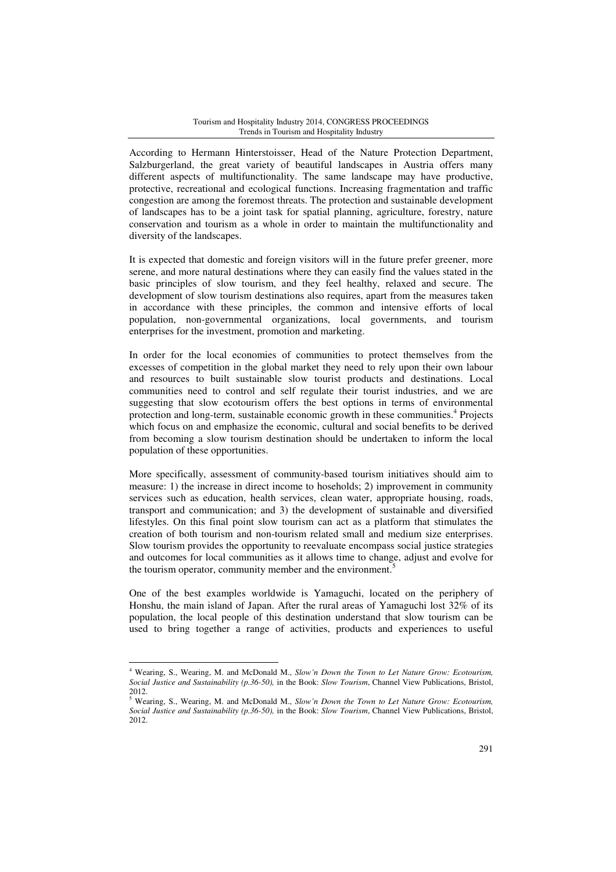#### Tourism and Hospitality Industry 2014, CONGRESS PROCEEDINGS Trends in Tourism and Hospitality Industry

According to Hermann Hinterstoisser, Head of the Nature Protection Department, Salzburgerland, the great variety of beautiful landscapes in Austria offers many different aspects of multifunctionality. The same landscape may have productive, protective, recreational and ecological functions. Increasing fragmentation and traffic congestion are among the foremost threats. The protection and sustainable development of landscapes has to be a joint task for spatial planning, agriculture, forestry, nature conservation and tourism as a whole in order to maintain the multifunctionality and diversity of the landscapes.

It is expected that domestic and foreign visitors will in the future prefer greener, more serene, and more natural destinations where they can easily find the values stated in the basic principles of slow tourism, and they feel healthy, relaxed and secure. The development of slow tourism destinations also requires, apart from the measures taken in accordance with these principles, the common and intensive efforts of local population, non-governmental organizations, local governments, and tourism enterprises for the investment, promotion and marketing.

In order for the local economies of communities to protect themselves from the excesses of competition in the global market they need to rely upon their own labour and resources to built sustainable slow tourist products and destinations. Local communities need to control and self regulate their tourist industries, and we are suggesting that slow ecotourism offers the best options in terms of environmental protection and long-term, sustainable economic growth in these communities.<sup>4</sup> Projects which focus on and emphasize the economic, cultural and social benefits to be derived from becoming a slow tourism destination should be undertaken to inform the local population of these opportunities.

More specifically, assessment of community-based tourism initiatives should aim to measure: 1) the increase in direct income to hoseholds; 2) improvement in community services such as education, health services, clean water, appropriate housing, roads, transport and communication; and 3) the development of sustainable and diversified lifestyles. On this final point slow tourism can act as a platform that stimulates the creation of both tourism and non-tourism related small and medium size enterprises. Slow tourism provides the opportunity to reevaluate encompass social justice strategies and outcomes for local communities as it allows time to change, adjust and evolve for the tourism operator, community member and the environment.<sup>5</sup>

One of the best examples worldwide is Yamaguchi, located on the periphery of Honshu, the main island of Japan. After the rural areas of Yamaguchi lost 32% of its population, the local people of this destination understand that slow tourism can be used to bring together a range of activities, products and experiences to useful

<sup>4</sup> Wearing, S., Wearing, M. and McDonald M., *Slow'n Down the Town to Let Nature Grow: Ecotourism, Social Justice and Sustainability (p.36-50),* in the Book: *Slow Tourism*, Channel View Publications, Bristol, 2012.

<sup>5</sup> Wearing, S., Wearing, M. and McDonald M., *Slow'n Down the Town to Let Nature Grow: Ecotourism, Social Justice and Sustainability (p.36-50),* in the Book: *Slow Tourism*, Channel View Publications, Bristol, 2012.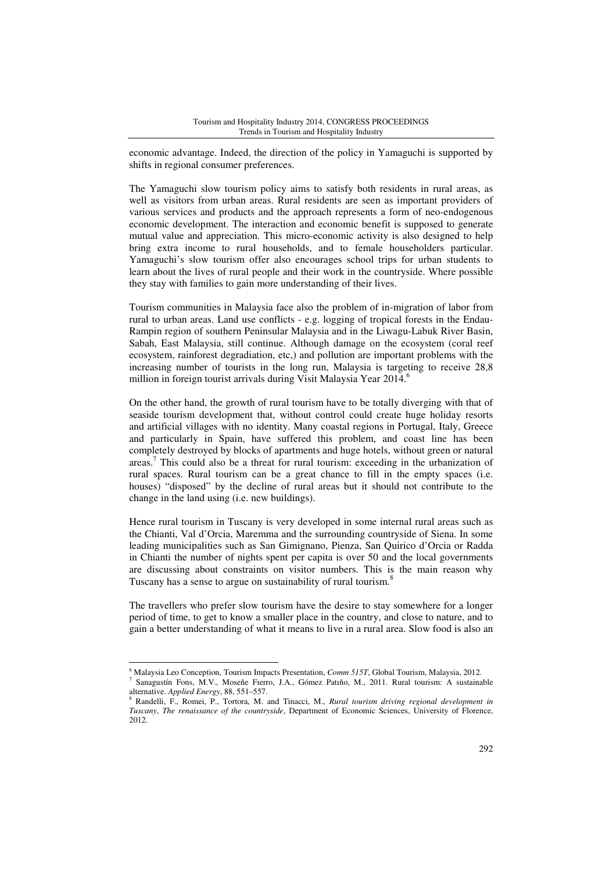economic advantage. Indeed, the direction of the policy in Yamaguchi is supported by shifts in regional consumer preferences.

The Yamaguchi slow tourism policy aims to satisfy both residents in rural areas, as well as visitors from urban areas. Rural residents are seen as important providers of various services and products and the approach represents a form of neo-endogenous economic development. The interaction and economic benefit is supposed to generate mutual value and appreciation. This micro-economic activity is also designed to help bring extra income to rural households, and to female householders particular. Yamaguchi's slow tourism offer also encourages school trips for urban students to learn about the lives of rural people and their work in the countryside. Where possible they stay with families to gain more understanding of their lives.

Tourism communities in Malaysia face also the problem of in-migration of labor from rural to urban areas. Land use conflicts - e.g. logging of tropical forests in the Endau-Rampin region of southern Peninsular Malaysia and in the Liwagu-Labuk River Basin, Sabah, East Malaysia, still continue. Although damage on the ecosystem (coral reef ecosystem, rainforest degradiation, etc,) and pollution are important problems with the increasing number of tourists in the long run, Malaysia is targeting to receive 28,8 million in foreign tourist arrivals during Visit Malaysia Year 2014.<sup>6</sup>

On the other hand, the growth of rural tourism have to be totally diverging with that of seaside tourism development that, without control could create huge holiday resorts and artificial villages with no identity. Many coastal regions in Portugal, Italy, Greece and particularly in Spain, have suffered this problem, and coast line has been completely destroyed by blocks of apartments and huge hotels, without green or natural areas.<sup>7</sup> This could also be a threat for rural tourism: exceeding in the urbanization of rural spaces. Rural tourism can be a great chance to fill in the empty spaces (i.e. houses) "disposed" by the decline of rural areas but it should not contribute to the change in the land using (i.e. new buildings).

Hence rural tourism in Tuscany is very developed in some internal rural areas such as the Chianti, Val d'Orcia, Maremma and the surrounding countryside of Siena. In some leading municipalities such as San Gimignano, Pienza, San Quirico d'Orcia or Radda in Chianti the number of nights spent per capita is over 50 and the local governments are discussing about constraints on visitor numbers. This is the main reason why Tuscany has a sense to argue on sustainability of rural tourism.<sup>8</sup>

The travellers who prefer slow tourism have the desire to stay somewhere for a longer period of time, to get to know a smaller place in the country, and close to nature, and to gain a better understanding of what it means to live in a rural area. Slow food is also an

<sup>6</sup> Malaysia Leo Conception, Tourism Impacts Presentation, *Comm 515T*, Global Tourism, Malaysia, 2012. 7 Sanagustín Fons, M.V., Moseñe Fıerro, J.A., Gómez Patıño, M., 2011. Rural tourism: A sustainable alternative. *Applied Energy*, 88, 551–557.

<sup>8</sup> Randelli, F., Romei, P., Tortora, M. and Tinacci, M., *Rural tourism driving regional development in Tuscany*, *The renaissance of the countryside*, Department of Economic Sciences, University of Florence, 2012.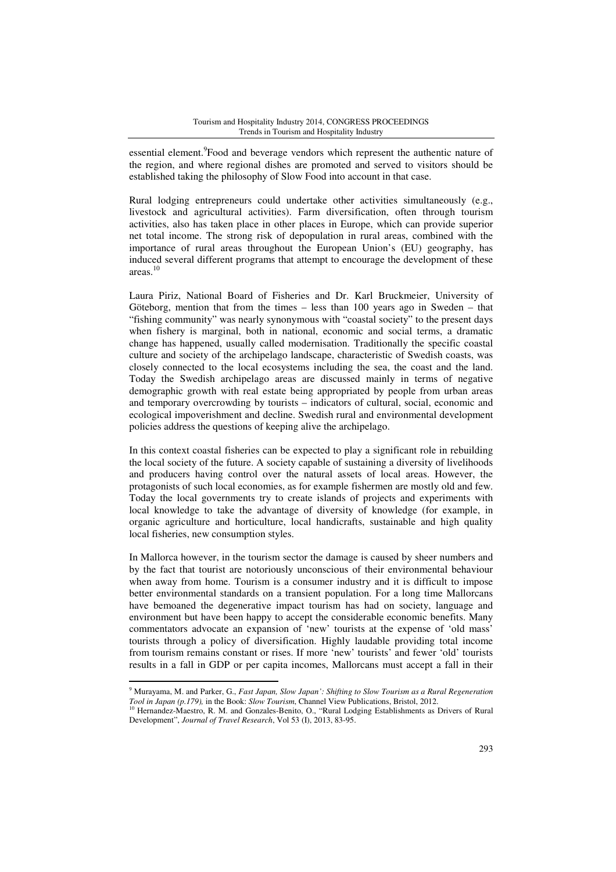essential element.<sup>9</sup>Food and beverage vendors which represent the authentic nature of the region, and where regional dishes are promoted and served to visitors should be established taking the philosophy of Slow Food into account in that case.

Rural lodging entrepreneurs could undertake other activities simultaneously (e.g., livestock and agricultural activities). Farm diversification, often through tourism activities, also has taken place in other places in Europe, which can provide superior net total income. The strong risk of depopulation in rural areas, combined with the importance of rural areas throughout the European Union's (EU) geography, has induced several different programs that attempt to encourage the development of these areas.<sup>10</sup>

Laura Piriz, National Board of Fisheries and Dr. Karl Bruckmeier, University of Göteborg, mention that from the times – less than 100 years ago in Sweden – that "fishing community" was nearly synonymous with "coastal society" to the present days when fishery is marginal, both in national, economic and social terms, a dramatic change has happened, usually called modernisation. Traditionally the specific coastal culture and society of the archipelago landscape, characteristic of Swedish coasts, was closely connected to the local ecosystems including the sea, the coast and the land. Today the Swedish archipelago areas are discussed mainly in terms of negative demographic growth with real estate being appropriated by people from urban areas and temporary overcrowding by tourists – indicators of cultural, social, economic and ecological impoverishment and decline. Swedish rural and environmental development policies address the questions of keeping alive the archipelago.

In this context coastal fisheries can be expected to play a significant role in rebuilding the local society of the future. A society capable of sustaining a diversity of livelihoods and producers having control over the natural assets of local areas. However, the protagonists of such local economies, as for example fishermen are mostly old and few. Today the local governments try to create islands of projects and experiments with local knowledge to take the advantage of diversity of knowledge (for example, in organic agriculture and horticulture, local handicrafts, sustainable and high quality local fisheries, new consumption styles.

In Mallorca however, in the tourism sector the damage is caused by sheer numbers and by the fact that tourist are notoriously unconscious of their environmental behaviour when away from home. Tourism is a consumer industry and it is difficult to impose better environmental standards on a transient population. For a long time Mallorcans have bemoaned the degenerative impact tourism has had on society, language and environment but have been happy to accept the considerable economic benefits. Many commentators advocate an expansion of 'new' tourists at the expense of 'old mass' tourists through a policy of diversification. Highly laudable providing total income from tourism remains constant or rises. If more 'new' tourists' and fewer 'old' tourists results in a fall in GDP or per capita incomes, Mallorcans must accept a fall in their

<sup>9</sup> Murayama, M. and Parker, G., *Fast Japan, Slow Japan': Shifting to Slow Tourism as a Rural Regeneration Tool in Japan (p.179),* in the Book: *Slow Tourism*, Channel View Publications, Bristol, 2012.

<sup>10</sup> Hernandez-Maestro, R. M. and Gonzales-Benito, O., "Rural Lodging Establishments as Drivers of Rural Development", *Journal of Travel Research*, Vol 53 (I), 2013, 83-95.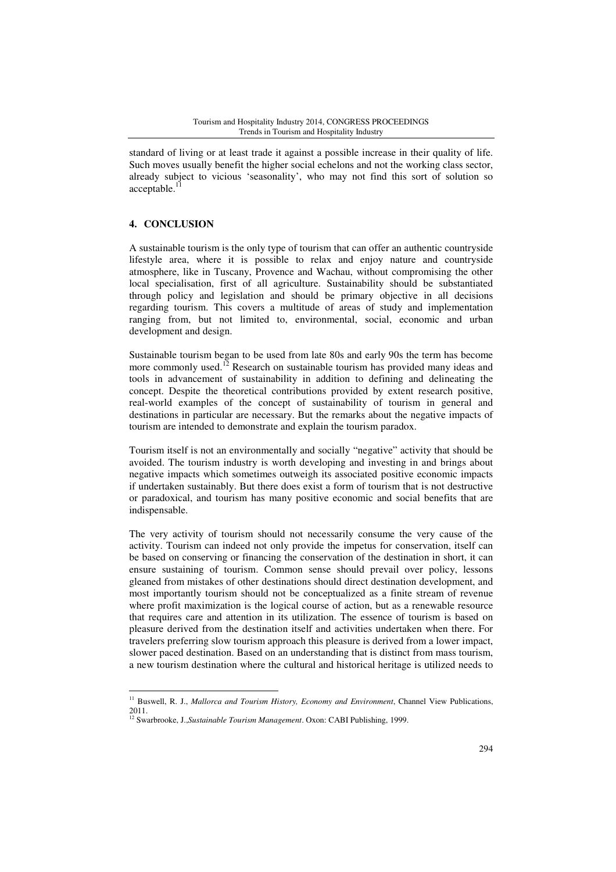standard of living or at least trade it against a possible increase in their quality of life. Such moves usually benefit the higher social echelons and not the working class sector, already subject to vicious 'seasonality', who may not find this sort of solution so  $acceltable.$ <sup>1</sup>

### **4. CONCLUSION**

 $\overline{a}$ 

A sustainable tourism is the only type of tourism that can offer an authentic countryside lifestyle area, where it is possible to relax and enjoy nature and countryside atmosphere, like in Tuscany, Provence and Wachau, without compromising the other local specialisation, first of all agriculture. Sustainability should be substantiated through policy and legislation and should be primary objective in all decisions regarding tourism. This covers a multitude of areas of study and implementation ranging from, but not limited to, environmental, social, economic and urban development and design.

Sustainable tourism began to be used from late 80s and early 90s the term has become more commonly used.<sup>12</sup> Research on sustainable tourism has provided many ideas and tools in advancement of sustainability in addition to defining and delineating the concept. Despite the theoretical contributions provided by extent research positive, real-world examples of the concept of sustainability of tourism in general and destinations in particular are necessary. But the remarks about the negative impacts of tourism are intended to demonstrate and explain the tourism paradox.

Tourism itself is not an environmentally and socially "negative" activity that should be avoided. The tourism industry is worth developing and investing in and brings about negative impacts which sometimes outweigh its associated positive economic impacts if undertaken sustainably. But there does exist a form of tourism that is not destructive or paradoxical, and tourism has many positive economic and social benefits that are indispensable.

The very activity of tourism should not necessarily consume the very cause of the activity. Tourism can indeed not only provide the impetus for conservation, itself can be based on conserving or financing the conservation of the destination in short, it can ensure sustaining of tourism. Common sense should prevail over policy, lessons gleaned from mistakes of other destinations should direct destination development, and most importantly tourism should not be conceptualized as a finite stream of revenue where profit maximization is the logical course of action, but as a renewable resource that requires care and attention in its utilization. The essence of tourism is based on pleasure derived from the destination itself and activities undertaken when there. For travelers preferring slow tourism approach this pleasure is derived from a lower impact, slower paced destination. Based on an understanding that is distinct from mass tourism, a new tourism destination where the cultural and historical heritage is utilized needs to

<sup>&</sup>lt;sup>11</sup> Buswell, R. J., *Mallorca and Tourism History, Economy and Environment*, Channel View Publications, 2011.

<sup>12</sup> Swarbrooke, J.,*Sustainable Tourism Management*. Oxon: CABI Publishing, 1999.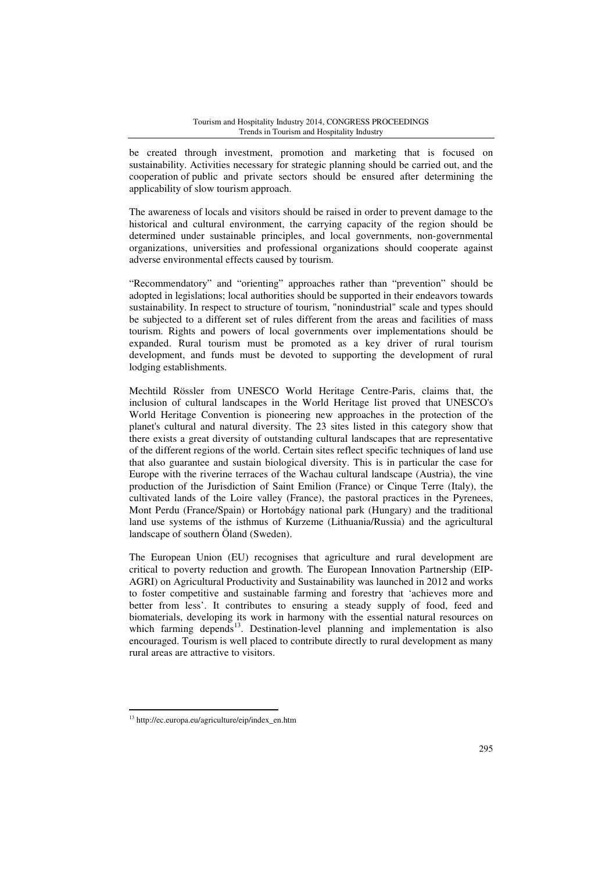be created through investment, promotion and marketing that is focused on sustainability. Activities necessary for strategic planning should be carried out, and the cooperation of public and private sectors should be ensured after determining the applicability of slow tourism approach.

The awareness of locals and visitors should be raised in order to prevent damage to the historical and cultural environment, the carrying capacity of the region should be determined under sustainable principles, and local governments, non-governmental organizations, universities and professional organizations should cooperate against adverse environmental effects caused by tourism.

"Recommendatory" and "orienting" approaches rather than "prevention" should be adopted in legislations; local authorities should be supported in their endeavors towards sustainability. In respect to structure of tourism, "nonindustrial" scale and types should be subjected to a different set of rules different from the areas and facilities of mass tourism. Rights and powers of local governments over implementations should be expanded. Rural tourism must be promoted as a key driver of rural tourism development, and funds must be devoted to supporting the development of rural lodging establishments.

Mechtild Rössler from UNESCO World Heritage Centre-Paris, claims that, the inclusion of cultural landscapes in the World Heritage list proved that UNESCO's World Heritage Convention is pioneering new approaches in the protection of the planet's cultural and natural diversity. The 23 sites listed in this category show that there exists a great diversity of outstanding cultural landscapes that are representative of the different regions of the world. Certain sites reflect specific techniques of land use that also guarantee and sustain biological diversity. This is in particular the case for Europe with the riverine terraces of the Wachau cultural landscape (Austria), the vine production of the Jurisdiction of Saint Emilion (France) or Cinque Terre (Italy), the cultivated lands of the Loire valley (France), the pastoral practices in the Pyrenees, Mont Perdu (France/Spain) or Hortobágy national park (Hungary) and the traditional land use systems of the isthmus of Kurzeme (Lithuania/Russia) and the agricultural landscape of southern Öland (Sweden).

The European Union (EU) recognises that agriculture and rural development are critical to poverty reduction and growth. The European Innovation Partnership (EIP-AGRI) on Agricultural Productivity and Sustainability was launched in 2012 and works to foster competitive and sustainable farming and forestry that 'achieves more and better from less'. It contributes to ensuring a steady supply of food, feed and biomaterials, developing its work in harmony with the essential natural resources on which farming depends $13$ . Destination-level planning and implementation is also encouraged. Tourism is well placed to contribute directly to rural development as many rural areas are attractive to visitors.

 $\overline{a}$ 

<sup>13</sup> http://ec.europa.eu/agriculture/eip/index\_en.htm